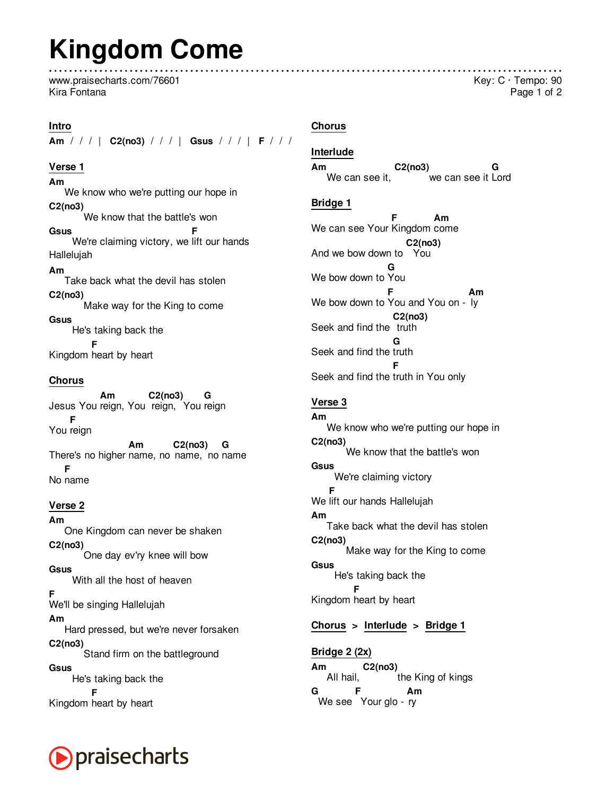# **Kingdom Come**

www.praisecharts.com/76601 Kira Fontana

#### **Intro**

**Am** / / / | **C2(no3)** / / / | **Gsus** / / / | **F** / / /

### **Verse 1**

**Am** We know who we're putting our hope in **C2(no3)** We know that the battle's won **Gsus** We're claiming victory, we lift our hands **F** Hallelujah **Am** Take back what the devil has stolen **C2(no3)** Make way for the King to come **Gsus**

He's taking back the Kingdom heart by heart **F**

#### **Chorus**

Jesus You reign, You reign, You reign **Am C2(no3) G** You reign **F** There's no higher name, no name, no name **Am C2(no3) G** No name **F**

#### **Verse 2**

**Am** One Kingdom can never be shaken **C2(no3)** One day ev'ry knee will bow **Gsus** With all the host of heaven **F** We'll be singing Hallelujah **Am** Hard pressed, but we're never forsaken **C2(no3)** Stand firm on the battleground **Gsus** He's taking back the Kingdom heart by heart **F**



#### **Chorus**

#### **Interlude**

**Am** We can see it, **C2(no3)** we can see it Lord **G**

#### **Bridge 1**

We can see Your Kingdom come **F Am** And we bow down to You **C2(no3)** We bow down to You **G** We bow down to You and You on - ly **F Am** Seek and find the truth **C2(no3)** Seek and find the truth **G** Seek and find the truth in You only **F**

## **Verse 3**

**Am** We know who we're putting our hope in **C2(no3)** We know that the battle's won **Gsus** We're claiming victory We lift our hands Hallelujah **F Am** Take back what the devil has stolen **C2(no3)** Make way for the King to come **Gsus** He's taking back the Kingdom heart by heart **F**

## **Chorus > Interlude > Bridge 1**

**Am** All hail, **C2(no3)** the King of kings **G** We see Your glo - ry **F Am Bridge 2 (2x)**

### Key: C · Tempo: 90 Page 1 of 2